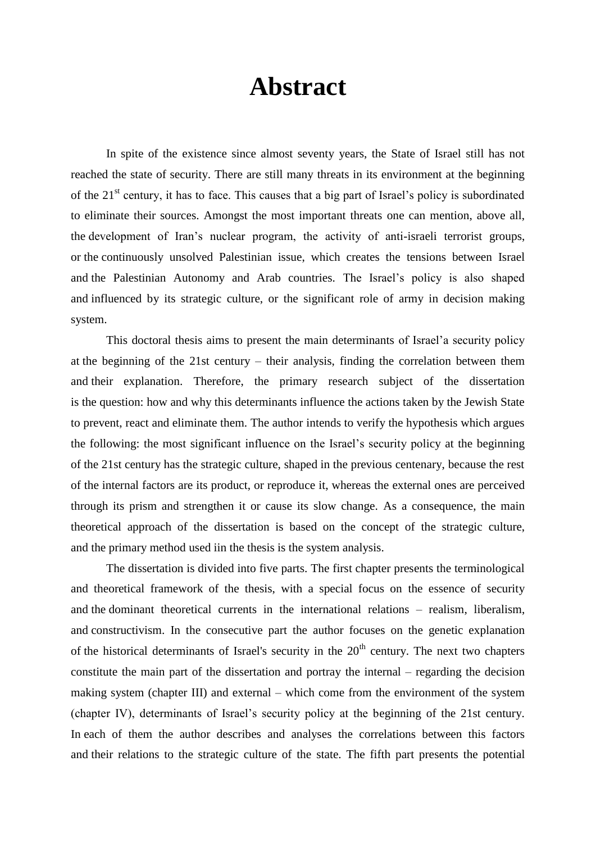## **Abstract**

In spite of the existence since almost seventy years, the State of Israel still has not reached the state of security. There are still many threats in its environment at the beginning of the 21<sup>st</sup> century, it has to face. This causes that a big part of Israel's policy is subordinated to eliminate their sources. Amongst the most important threats one can mention, above all, the development of Iran's nuclear program, the activity of anti-israeli terrorist groups, or the continuously unsolved Palestinian issue, which creates the tensions between Israel and the Palestinian Autonomy and Arab countries. The Israel's policy is also shaped and influenced by its strategic culture, or the significant role of army in decision making system.

This doctoral thesis aims to present the main determinants of Israel'a security policy at the beginning of the 21st century – their analysis, finding the correlation between them and their explanation. Therefore, the primary research subject of the dissertation is the question: how and why this determinants influence the actions taken by the Jewish State to prevent, react and eliminate them. The author intends to verify the hypothesis which argues the following: the most significant influence on the Israel's security policy at the beginning of the 21st century has the strategic culture, shaped in the previous centenary, because the rest of the internal factors are its product, or reproduce it, whereas the external ones are perceived through its prism and strengthen it or cause its slow change. As a consequence, the main theoretical approach of the dissertation is based on the concept of the strategic culture, and the primary method used iin the thesis is the system analysis.

The dissertation is divided into five parts. The first chapter presents the terminological and theoretical framework of the thesis, with a special focus on the essence of security and the dominant theoretical currents in the international relations – realism, liberalism, and constructivism. In the consecutive part the author focuses on the genetic explanation of the historical determinants of Israel's security in the  $20<sup>th</sup>$  century. The next two chapters constitute the main part of the dissertation and portray the internal – regarding the decision making system (chapter III) and external – which come from the environment of the system (chapter IV), determinants of Israel's security policy at the beginning of the 21st century. In each of them the author describes and analyses the correlations between this factors and their relations to the strategic culture of the state. The fifth part presents the potential